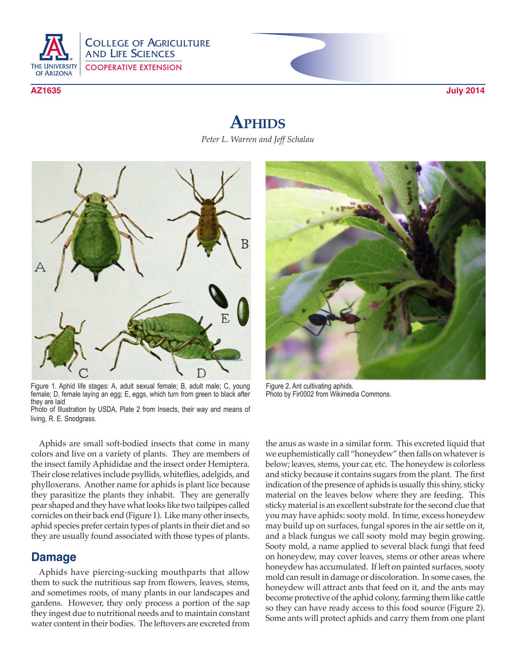

# **Aphids**

*Peter L. Warren and Jeff Schalau*



Figure 1. Aphid life stages: A, adult sexual female; B, adult male; C, young female; D, female laying an egg; E, eggs, which turn from green to black after they are laid Photo of Illustration by USDA, Plate 2 from Insects, their way and means of living, R. E. Snodgrass.

Aphids are small soft-bodied insects that come in many colors and live on a variety of plants. They are members of the insect family Aphididae and the insect order Hemiptera. Their close relatives include psyllids, whiteflies, adelgids, and phylloxerans. Another name for aphids is plant lice because they parasitize the plants they inhabit. They are generally pear shaped and they have what looks like two tailpipes called cornicles on their back end (Figure 1). Like many other insects, aphid species prefer certain types of plants in their diet and so they are usually found associated with those types of plants.

## **Damage**

Aphids have piercing-sucking mouthparts that allow them to suck the nutritious sap from flowers, leaves, stems, and sometimes roots, of many plants in our landscapes and gardens. However, they only process a portion of the sap they ingest due to nutritional needs and to maintain constant water content in their bodies. The leftovers are excreted from



Figure 2. Ant cultivating aphids. Photo by Fir0002 from Wikimedia Commons.

the anus as waste in a similar form. This excreted liquid that we euphemistically call "honeydew" then falls on whatever is below; leaves, stems, your car, etc. The honeydew is colorless and sticky because it contains sugars from the plant. The first indication of the presence of aphids is usually this shiny, sticky material on the leaves below where they are feeding. This sticky material is an excellent substrate for the second clue that you may have aphids: sooty mold. In time, excess honeydew may build up on surfaces, fungal spores in the air settle on it, and a black fungus we call sooty mold may begin growing. Sooty mold, a name applied to several black fungi that feed on honeydew, may cover leaves, stems or other areas where honeydew has accumulated. If left on painted surfaces, sooty mold can result in damage or discoloration. In some cases, the honeydew will attract ants that feed on it, and the ants may become protective of the aphid colony, farming them like cattle so they can have ready access to this food source (Figure 2). Some ants will protect aphids and carry them from one plant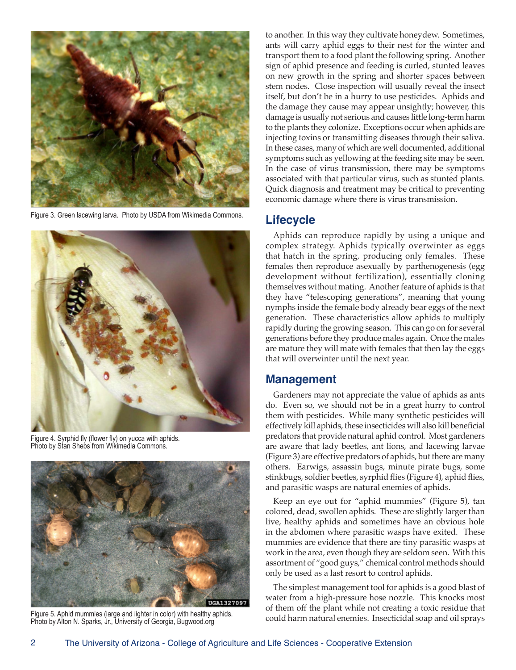

Figure 3. Green lacewing larva. Photo by USDA from Wikimedia Commons.



Figure 4. Syrphid fly (flower fly) on yucca with aphids. Photo by Stan Shebs from Wikimedia Commons.



Figure 5. Aphid mummies (large and lighter in color) with healthy aphids. Photo by Alton N. Sparks, Jr., University of Georgia, Bugwood.org

to another. In this way they cultivate honeydew. Sometimes, ants will carry aphid eggs to their nest for the winter and transport them to a food plant the following spring. Another sign of aphid presence and feeding is curled, stunted leaves on new growth in the spring and shorter spaces between stem nodes. Close inspection will usually reveal the insect itself, but don't be in a hurry to use pesticides. Aphids and the damage they cause may appear unsightly; however, this damage is usually not serious and causes little long-term harm to the plants they colonize. Exceptions occur when aphids are injecting toxins or transmitting diseases through their saliva. In these cases, many of which are well documented, additional symptoms such as yellowing at the feeding site may be seen. In the case of virus transmission, there may be symptoms associated with that particular virus, such as stunted plants. Quick diagnosis and treatment may be critical to preventing economic damage where there is virus transmission.

# **Lifecycle**

Aphids can reproduce rapidly by using a unique and complex strategy. Aphids typically overwinter as eggs that hatch in the spring, producing only females. These females then reproduce asexually by parthenogenesis (egg development without fertilization), essentially cloning themselves without mating. Another feature of aphids is that they have "telescoping generations", meaning that young nymphs inside the female body already bear eggs of the next generation. These characteristics allow aphids to multiply rapidly during the growing season. This can go on for several generations before they produce males again. Once the males are mature they will mate with females that then lay the eggs that will overwinter until the next year.

## **Management**

Gardeners may not appreciate the value of aphids as ants do. Even so, we should not be in a great hurry to control them with pesticides. While many synthetic pesticides will effectively kill aphids, these insecticides will also kill beneficial predators that provide natural aphid control. Most gardeners are aware that lady beetles, ant lions, and lacewing larvae (Figure 3) are effective predators of aphids, but there are many others. Earwigs, assassin bugs, minute pirate bugs, some stinkbugs, soldier beetles, syrphid flies (Figure 4), aphid flies, and parasitic wasps are natural enemies of aphids.

Keep an eye out for "aphid mummies" (Figure 5), tan colored, dead, swollen aphids. These are slightly larger than live, healthy aphids and sometimes have an obvious hole in the abdomen where parasitic wasps have exited. These mummies are evidence that there are tiny parasitic wasps at work in the area, even though they are seldom seen. With this assortment of "good guys," chemical control methods should only be used as a last resort to control aphids.

The simplest management tool for aphids is a good blast of water from a high-pressure hose nozzle. This knocks most of them off the plant while not creating a toxic residue that could harm natural enemies. Insecticidal soap and oil sprays